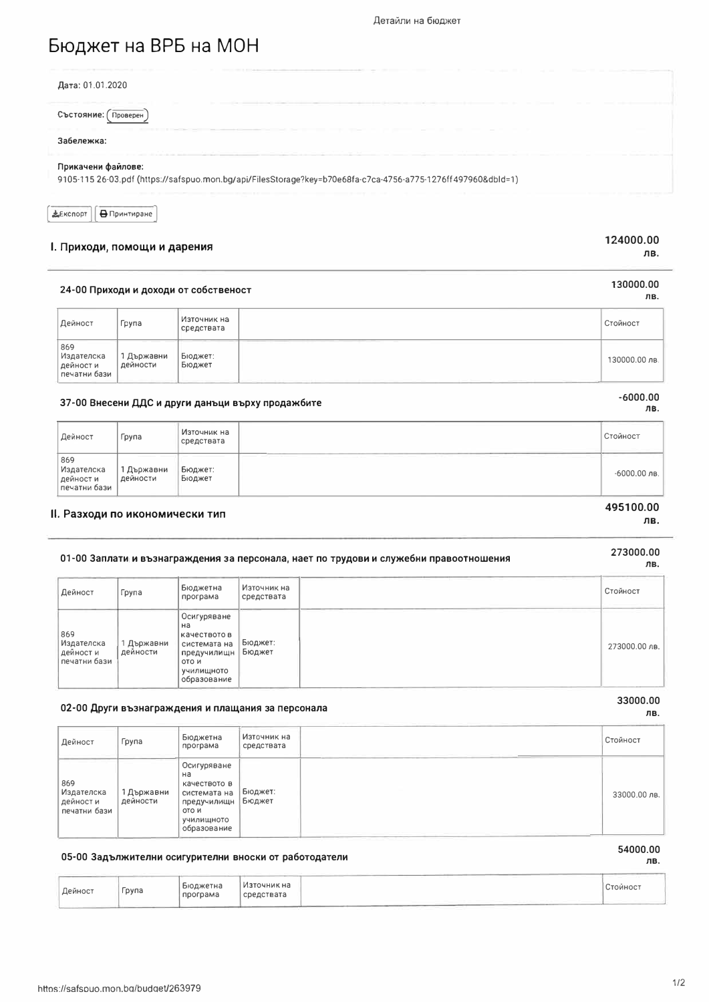## Бюджет на ВРБ на МОН

| Дата: 01.01.2020                                                                                                                   |  |
|------------------------------------------------------------------------------------------------------------------------------------|--|
| Състояние:<br>Проверен                                                                                                             |  |
| Забележка:                                                                                                                         |  |
| Прикачени файлове:<br>9105-115 26-03.pdf (https://safspuo.mon.bg/api/FilesStorage?key=b70e68fa-c7ca-4756-a775-1276ff497960&dbld=1) |  |

| EKCROPT | <b>∈ ⊟</b> Принтиране |
|---------|-----------------------|
|         |                       |

## I. Приходи, помощи и дарения

#### 124000.00 лв.

130000.00

ЛB.

## 24-00 Приходи и доходи от собственост

| Дейност                                       | Група                    | Източник на<br>средствата | Стойност      |
|-----------------------------------------------|--------------------------|---------------------------|---------------|
| 869<br>Издателска<br>дейности<br>печатни бази | 1 Държавни<br>  дейности | Бюджет:<br>Бюджет         | 130000.00 лв. |

## 37-00 Внесени ДДС и други данъци върху продажбите

| Дейност                                        | Група                  | Източник на<br>средствата |       | Стойност       |
|------------------------------------------------|------------------------|---------------------------|-------|----------------|
| 869<br>Издателска<br>дейност и<br>печатни бази | 1 Държавни<br>дейности | Бюджет:<br>Бюджет         | _____ | $-6000.00$ лв. |

## II. Разходи по икономически тип

## 01-00 Заплати и възнаграждения за персонала, нает по трудови и служебни правоотношения

| Дейност                                        | Група                | Бюджетна<br>програма                                                                                   | Източник на<br>средствата | Стойност      |
|------------------------------------------------|----------------------|--------------------------------------------------------------------------------------------------------|---------------------------|---------------|
| 869<br>Издателска<br>дейност и<br>печатни бази | Държавни<br>дейности | Осигуряване<br>на<br>качеството в<br>системата на<br>предучилищн<br>ото и<br>училищното<br>образование | Бюджет:<br>Бюджет         | 273000.00 лв. |

## 02-00 Други възнаграждения и плащания за персонала

| Дейност                                        | Група                  | Бюджетна<br>програма                                                                                   | Източник на<br>средствата | Стойност     |
|------------------------------------------------|------------------------|--------------------------------------------------------------------------------------------------------|---------------------------|--------------|
| 869<br>Издателска<br>дейност и<br>печатни бази | 1 Държавни<br>дейности | Осигуряване<br>на<br>качеството в<br>системата на<br>предучилищн<br>OTO H<br>училищното<br>образование | Бюджет:<br>Бюджет         | 33000.00 лв. |

## 54000.00

ЛВ.

33000.00

ЛВ.

### 05-00 Задължителни осигурителни вноски от работодатели

| Дейност | Група | Бюджетна<br>програма | Източник на<br>средствата | Стойност |
|---------|-------|----------------------|---------------------------|----------|
|         |       |                      |                           |          |

## $-6000.00$ лв.

# 495100.00

#### ЛВ.

## 273000.00 лв.